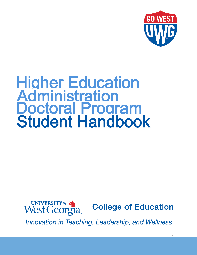

# Higher Education **Administration** Doctoral Program Student Handbook

UNIVERSITY of Source **College of Education** 

Innovation in Teaching, Leadership, and Wellness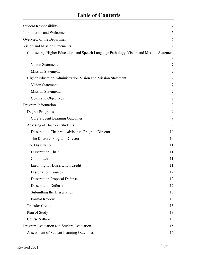| <b>Student Responsibility</b>                                                            | $\overline{4}$ |
|------------------------------------------------------------------------------------------|----------------|
| Introduction and Welcome                                                                 | 5              |
| Overview of the Department                                                               | 6              |
| Vision and Mission Statements                                                            | 7              |
| Counseling, Higher Education, and Speech Language Pathology Vision and Mission Statement |                |
|                                                                                          | 7              |
| <b>Vision Statement</b>                                                                  | 7              |
| <b>Mission Statement</b>                                                                 | 7              |
| Higher Education Administration Vision and Mission Statement                             | 7              |
| <b>Vision Statement:</b>                                                                 | 7              |
| <b>Mission Statement:</b>                                                                | 7              |
| Goals and Objectives                                                                     | 7              |
| Program Information                                                                      | 9              |
| Degree Programs                                                                          | 9              |
| <b>Core Student Learning Outcomes</b>                                                    | 9              |
| Advising of Doctoral Students                                                            | 9              |
| Dissertation Chair vs. Advisor vs Program Director                                       | 10             |
| The Doctoral Program Director                                                            | 10             |
| The Dissertation                                                                         | 11             |
| <b>Dissertation Chair</b>                                                                | 11             |
| Committee                                                                                | 11             |
| <b>Enrolling for Dissertation Credit</b>                                                 | 11             |
| <b>Dissertation Courses</b>                                                              | 12             |
| <b>Dissertation Proposal Defense</b>                                                     | 12             |
| <b>Dissertation Defense</b>                                                              | 12             |
| Submitting the Dissertation                                                              | 13             |
| <b>Format Review</b>                                                                     | 13             |
| <b>Transfer Credits</b>                                                                  | 13             |
| Plan of Study                                                                            | 13             |
| Course Syllabi                                                                           | 13             |
| Program Evaluation and Student Evaluation                                                | 15             |
| Assessment of Student Learning Outcomes:                                                 | 15             |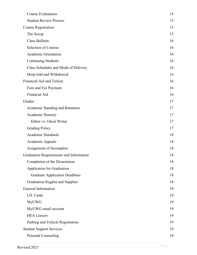| <b>Course Evaluations</b>               | 15 |
|-----------------------------------------|----|
| <b>Student Review Process</b>           | 15 |
| <b>Course Registration</b>              | 15 |
| The Scoop                               | 15 |
| Class Bulletin                          | 16 |
| <b>Selection of Courses</b>             | 16 |
| <b>Academic Orientation</b>             | 16 |
| <b>Continuing Students</b>              | 16 |
| Class Schedules and Mode of Delivery    | 16 |
| Drop/Add and Withdrawal                 | 16 |
| Financial Aid and Tuition               | 16 |
| Fees and Fee Payment                    | 16 |
| Financial Aid                           | 16 |
| Grades                                  | 17 |
| Academic Standing and Retention         | 17 |
| Academic Honesty                        | 17 |
| Editor vs. Ghost Writer                 | 17 |
| <b>Grading Policy</b>                   | 17 |
| Academic Standards                      | 18 |
| Academic Appeals                        | 18 |
| Assignment of Incomplete                | 18 |
| Graduation Requirements and Information | 18 |
| Completion of the Dissertation          | 18 |
| Application for Graduation              | 18 |
| <b>Graduate Application Deadlines</b>   | 18 |
| <b>Graduation Regalia and Supplies</b>  | 18 |
| General Information                     | 19 |
| I.D. Cards                              | 19 |
| <b>MyUWG</b>                            | 19 |
| MyUWG email account                     | 19 |
| <b>HEA Listserv</b>                     | 19 |
| Parking and Vehicle Registration        | 19 |
| <b>Student Support Services</b>         | 19 |
| Personal Counseling                     | 19 |
|                                         |    |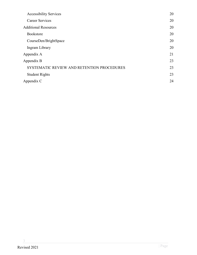| <b>Accessibility Services</b>              | 20 |
|--------------------------------------------|----|
| <b>Career Services</b>                     | 20 |
| <b>Additional Resources</b>                | 20 |
| <b>Bookstore</b>                           | 20 |
| CourseDen/BrightSpace                      | 20 |
| Ingram Library                             | 20 |
| Appendix A                                 | 21 |
| Appendix B                                 | 23 |
| SYSTEMATIC REVIEW AND RETENTION PROCEDURES | 23 |
| <b>Student Rights</b>                      | 23 |
| Appendix C                                 | 24 |
|                                            |    |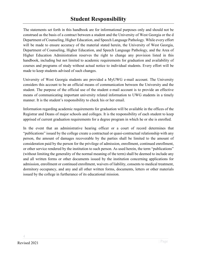<span id="page-4-0"></span>The statements set forth in this handbook are for informational purposes only and should not be construed as the basis of a contract between a student and the University of West Georgia or the d Department of Counseling, Higher Education, and Speech Language Pathology. While every effort will be made to ensure accuracy of the material stated herein, the University of West Georgia, Department of Counseling, Higher Education, and Speech Language Pathology, and the Area of Higher Education Administration reserves the right to change any provision listed in this handbook, including but not limited to academic requirements for graduation and availability of courses and programs of study without actual notice to individual students. Every effort will be made to keep students advised of such changes.

University of West Georgia students are provided a MyUWG e-mail account. The University considers this account to be an official means of communication between the University and the student. The purpose of the official use of the student e-mail account is to provide an effective means of communicating important university related information to UWG students in a timely manner. It is the student's responsibility to check his or her email.

Information regarding academic requirements for graduation will be available in the offices of the Registrar and Deans of major schools and colleges. It is the responsibility of each student to keep apprised of current graduation requirements for a degree program in which he or she is enrolled.

In the event that an administrative hearing officer or a court of record determines that "publications" issued by the college create a contractual or quasi-contractual relationship with any person, the amount of damages recoverable by the parties shall be limited to the amount of consideration paid by the person for the privilege of admission, enrollment, continued enrollment, or other service rendered by the institution to such person. As used herein, the term "publications" (without limiting the generality of the normal meaning of the term) shall be deemed to include any and all written forms or other documents issued by the institution concerning applications for admission, enrollment or continued enrollment, waivers of liability, consents to medical treatment, dormitory occupancy, and any and all other written forms, documents, letters or other materials issued by the college in furtherance of its educational mission.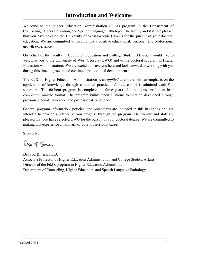# **Introduction and Welcome**

<span id="page-5-0"></span>Welcome to the Higher Education Administration (HEA) program in the Department of Counseling, Higher Education, and Speech Language Pathology. The faculty and staff are pleased that you have selected the University of West Georgia (UWG) for the pursuit of your doctoral education. We are committed to making this a positive educational, personal, and professional growth experience.

On behalf of the faculty in Counselor Education and College Student Affairs, I would like to welcome you to the University of West Georgia (UWG) and to the doctoral program in Higher Education Administration. We are excited to have you here and look forward to working with you during this time of growth and continued professional development.

The Ed.D. in Higher Education Administration is an *applied* doctorate with an emphasis on the application of knowledge through continued practice. A new cohort is admitted each Fall semester. The 60-hour program is completed in three years of continuous enrollment in a completely on-line format. The program builds upon a strong foundation developed through previous graduate education and professional experience.

General program information, policies, and procedures are included in this handbook and are intended to provide guidance as you progress through the program. The faculty and staff are pleased that you have selected UWG for the pursuit of your doctoral degree. We are committed to making this experience a hallmark of your professional career.

Sincerely,

Dona R. Traiss

Dena R. Kniess, Ph.D. Associate Professor of Higher Education Administration and College Student Affairs Director of the Ed.D. program in Higher Education Administration Department of Counseling, Higher Education, and Speech Language Pathology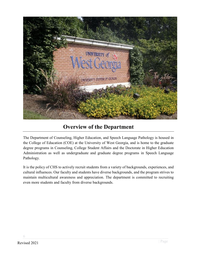

# **Overview of the Department**

<span id="page-6-0"></span>The Department of Counseling, Higher Education, and Speech Language Pathology is housed in the College of Education (COE) at the University of West Georgia, and is home to the graduate degree programs in Counseling, College Student Affairs and the Doctorate in Higher Education Administration as well as undergraduate and graduate degree programs in Speech Language Pathology.

It is the policy of CHS to actively recruit students from a variety of backgrounds, experiences, and cultural influences. Our faculty and students have diverse backgrounds, and the program strives to maintain multicultural awareness and appreciation. The department is committed to recruiting even more students and faculty from diverse backgrounds.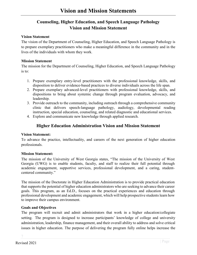# <span id="page-7-0"></span>**Counseling, Higher Education, and Speech Language Pathology Vision and Mission Statement**

#### <span id="page-7-2"></span><span id="page-7-1"></span>**Vision Statement**

The vision of the Department of Counseling, Higher Education, and Speech Language Pathology is to prepare exemplary practitioners who make a meaningful difference in the community and in the lives of the individuals with whom they work.

#### <span id="page-7-3"></span>**Mission Statement**

The mission for the Department of Counseling, Higher Education, and Speech Language Pathology is to:

- 1. Prepare exemplary entry-level practitioners with the professional knowledge, skills, and disposition to deliver evidence-based practices to diverse individuals across the life span.
- 2. Prepare exemplary advanced-level practitioners with professional knowledge, skills, and dispositions to bring about systemic change through program evaluation, advocacy, and leadership.
- 3. Provide outreach to the community, including outreach through a comprehensive community clinic that delivers speech-language pathology, audiology, developmental reading instruction, special education, counseling, and related diagnostic and educational services.
- 4. Explore and communicate new knowledge through applied research.

#### **Higher Education Administration Vision and Mission Statement**

#### <span id="page-7-5"></span><span id="page-7-4"></span>**Vision Statement:**

To advance the practice, intellectuality, and careers of the next generation of higher education professionals.

#### <span id="page-7-6"></span>**Mission Statement:**

The mission of the University of West Georgia states, "The mission of the University of West Georgia (UWG) is to enable students, faculty, and staff to realize their full potential through academic engagement, supportive services, professional development, and a caring, studentcentered community."

The mission of the Doctorate in Higher Education Administration is to provide practical education that supports the potential of higher education administrators who are seeking to advance their career goals. This program, as an Ed.D., focuses on the practical experiences and education through professional development and academic engagement, which will help prospective students learn how to improve their campus environment.

#### <span id="page-7-7"></span>**Goals and Objectives**

The program will recruit and admit administrators that work in a higher education/collegiate setting. The program is designed to increase participants' knowledge of college and university administration, leadership, finance management, and their overall ability to address and solve critical issues in higher education. The purpose of delivering the program fully online helps increase the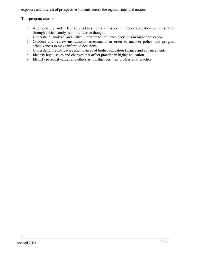exposure and interest of prospective students across the region, state, and nation.

This program aims to:

- 1. Appropriately and effectively address critical issues in higher education administration through critical analysis and reflective thought.
- 2. Understand, analyze, and utilize literature to influence decisions in higher education.
- 3. Conduct and review institutional assessments in order to analyze policy and program effectiveness to make informed decisions.
- 4. Understand the intricacies and nuances of higher education finance and advancement.
- 5. Identify legal issues and changes that affect practice in higher education.
- 6. Identify personal values and ethics as it influences their professional practice.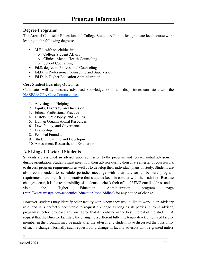### <span id="page-9-1"></span><span id="page-9-0"></span>**Degree Programs**

The Area of Counselor Education and College Student Affairs offers graduate level course work leading to the following degrees:

- M.Ed. with specialties in:
	- o College Student Affairs
	- o Clinical Mental Health Counseling
	- o School Counseling
- Ed.S. degree in Professional Counseling
- Ed.D. in Professional Counseling and Supervision
- Ed.D. in Higher Education Administration

#### <span id="page-9-2"></span>**Core Student Learning Outcomes**

Candidates will demonstrate advanced knowledge, skills and dispositions consistent with the [NASPA/ACPA Core Competencies:](https://www.myacpa.org/professional-competency-areas-student-affairs-practitioners)

- 1. Advising and Helping
- 2. Equity, Diversity, and Inclusion
- 3. Ethical Professional Practice
- 4. History, Philosophy, and Values
- 5. Human Organizational Resources
- 6. Law, Policy, and Governance
- 7. Leadership
- 8. Personal Foundations
- 9. Student Learning and Development
- 10. Assessment, Research, and Evaluation

# <span id="page-9-3"></span>**Advising of Doctoral Students**

Students are assigned an advisor upon admission to the program and receive initial advisement during orientation. Students must meet with their advisor during their first semester of coursework to discuss program requirements as well as to develop their individual plans of study. Students are also recommended to schedule periodic meetings with their advisor to be sure program requirements are met. It is imperative that students keep in contact with their advisor. Because changes occur, it is the responsibility of students to check their official UWG email address and to visit the Higher Education Administration program page [\(http://www.westga.edu/academics/education/cspc/eddhea\)](http://www.westga.edu/academics/education/cspc/eddhea) for any notice of change.

However, students may identify other faculty with whom they would like to work in an advisory role, and it is perfectly acceptable to request a change as long as all parties (current advisor, program director, proposed advisor) agree that it would be in the best interest of the student. A request that the Director facilitate the change to a different full-time tenure-track or tenured faculty member in the program may be made after the advisor and student have discussed the possibility of such a change. Normally such requests for a change in faculty advisors will be granted unless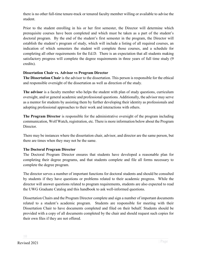there is no other full-time tenure-track or tenured faculty member willing or available to advise the student.

Prior to the student enrolling in his or her first semester, the Director will determine which prerequisite courses have been completed and which must be taken as a part of the student's doctoral program. By the end of the student's first semester in the program, the Director will establish the student's program of study, which will include a listing of all required courses, an indication of which semesters the student will complete those courses, and a schedule for completing all other requirements for the Ed.D. There is an expectation that all students making satisfactory progress will complete the degree requirements in three years of full time study (9 credits).

#### <span id="page-10-0"></span>**Dissertation Chair vs. Advisor vs Program Director**

**The Dissertation Chair** is the advisor to the dissertation. This person is responsible for the ethical and responsible oversight of the dissertation as well as direction of the study.

**The advisor** is a faculty member who helps the student with plan of study questions, curriculum oversight, and/or general academic and professional questions. Additionally, the advisor may serve as a mentor for students by assisting them by further developing their identity as professionals and adopting professional approaches to their work and interactions with others.

**The Program Director** is responsible for the administrative oversight of the program including communication, Wolf Watch, registration, etc. There is more information below about the Program Director.

There may be instances where the dissertation chair, advisor, and director are the same person, but there are times when they may not be the same.

#### <span id="page-10-1"></span>**The Doctoral Program Director**

The Doctoral Program Director ensures that students have developed a reasonable plan for completing their degree programs, and that students complete and file all forms necessary to complete the degree program.

The director serves a number of important functions for doctoral students and should be consulted by students if they have questions or problems related to their academic progress. While the director will answer questions related to program requirements, students are also expected to read the UWG Graduate Catalog and this handbook to ask well-informed questions.

Dissertation Chairs and the Program Director complete and sign a number of important documents related to a student's academic program. Students are responsible for meeting with their Dissertation Chair to have documents completed and filed on their behalf. Students should be provided with a copy of all documents completed by the chair and should request such copies for their own files if they are not offered.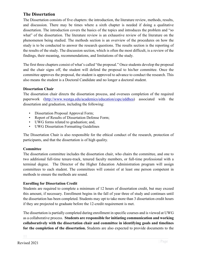## <span id="page-11-0"></span>**The Dissertation**

The Dissertation consists of five chapters: the introduction, the literature review, methods, results, and discussion. There may be times where a sixth chapter is needed if doing a qualitative dissertation. The introduction covers the basics of the topics and introduces the problem and "so what" of the dissertation. The literature review is an exhaustive review of the literature on the phenomenon being studied. The methods section is an overview of the procedures on how the study is to be conducted to answer the research questions. The results section is the reporting of the results of the study. The discussion section, which is often the most difficult, is a review of the findings, their meaning, recommendations, and limitations of the study.

The first three chapters consist of what's called "the proposal." Once students develop the proposal and the chair signs off, the student will defend the proposal to his/her committee. Once the committee approves the proposal, the student is approved to advance to conduct the research. This also means the student is a Doctoral Candidate and no longer a doctoral student.

#### <span id="page-11-1"></span>**Dissertation Chair**

The dissertation chair directs the dissertation process, and oversees completion of the required paperwork [\(http://www.westga.edu/academics/education/cspc/eddhea\)](http://www.westga.edu/academics/education/cspc/eddhea) associated with the dissertation and graduation, including the following:

- Dissertation Proposal Approval Form;
- Report of Results of Dissertation Defense Form;
- UWG forms related to graduation; and,
- UWG Dissertation Formatting Guidelines

The Dissertation Chair is also responsible for the ethical conduct of the research, protection of participants, and that the dissertation is of high quality.

#### <span id="page-11-2"></span>**Committee**

The dissertation committee includes the dissertation chair, who chairs the committee, and one to two additional full-time tenure-track, tenured faculty members, or full-time professional with a terminal degree. The Director of the Higher Education Administration program will assign committees to each student. The committees will consist of at least one person competent in methods to ensure the methods are sound.

#### <span id="page-11-3"></span>**Enrolling for Dissertation Credit**

Students are required to complete a minimum of 12 hours of dissertation credit, but may exceed this amount, if necessary. Enrollment begins in the fall of year three of study and continues until the dissertation has been completed. Students may opt to take more than 3 dissertation credit hours if they are projected to graduate before the 12-credit requirement is met.

The dissertation is partially completed during enrollment in specific courses and is viewed at UWG as a collaborative process. **Students are responsible for initiating communication and working collaboratively with the dissertation chair and committee in identifying goals and timelines for the completion of the dissertation.** Students are also expected to provide documents to the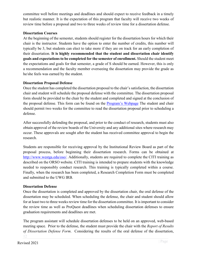committee well before meetings and deadlines and should expect to receive feedback in a timely but realistic manner. It is the expectation of this program that faculty will receive two weeks of review time before a proposal and two to three weeks of review time for a dissertation defense.

#### <span id="page-12-0"></span>**Dissertation Courses**

At the beginning of the semester, students should register for the dissertation hours for which their chair is the instructor. Students have the option to enter the number of credits, this number will typically be 3, but students can elect to take more if they are on track for an early completion of their dissertation. **It is highly recommended that the student and dissertation chair identify goals and expectations to be completed for the semester of enrollment.** Should the student meet the expectations and goals for that semester, a grade of S should be earned. However, this is only a recommendation and the faculty member overseeing the dissertation may provide the grade as he/she feels was earned by the student.

#### <span id="page-12-1"></span>**Dissertation Proposal Defense**

Once the student has completed the dissertation proposal to the chair's satisfaction, the dissertation chair and student will schedule the proposal defense with the committee. The dissertation proposal form should be provided to the chair by the student and completed and signed at the conclusion of the proposal defense. This form can be found on the [Program's Webpage](https://www.westga.edu/academics/education/cspc/eddhea/forms.php) The student and chair should permit two weeks for the committee to read the dissertation proposal prior to scheduling a defense.

After successfully defending the proposal, and prior to the conduct of research, students must also obtain approval of the review boards of the University and any additional sites where research may occur. These approvals are sought after the student has received committee approval to begin the research.

Students are responsible for receiving approval by the Institutional Review Board as part of the proposal process, before beginning their dissertation research. Forms can be obtained at [http://www.westga.edu/oso/.](http://www.westga.edu/oso/) Additionally, students are required to complete the CITI training as described on the ORSO website. CITI training is intended to prepare students with the knowledge needed to responsibly conduct research. This training is typically completed within a course. Finally, when the research has been completed, a Research Completion Form must be completed and submitted to the UWG IRB.

#### <span id="page-12-2"></span>**Dissertation Defense**

Once the dissertation is completed and approved by the dissertation chair, the oral defense of the dissertation may be scheduled. When scheduling the defense, the chair and student should allow for at least two to three weeks review time for the dissertation committee. It is important to consider the review time as well as ProQuest deadlines when scheduling dissertation defenses to ensure graduation requirements and deadlines are met.

The program assistant will schedule dissertation defenses to be held on an approved, web-based meeting space. Prior to the defense, the student must provide the chair with the *Report of Results of Dissertation Defense Form*. Considering the results of the oral defense of the dissertation,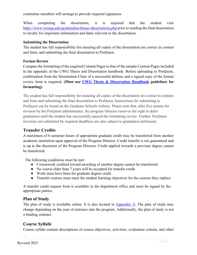committee members will arrange to provide required signatures.

When completing the dissertation, it is required that the student visit <https://www.westga.edu/gradstudies/theses-dissertations.php> prior to sending the final dissertation to faculty for important information and dates relevant to the dissertation.

#### <span id="page-13-0"></span>**Submitting the Dissertation**

The student has full responsibility for ensuring all copies of the dissertation are correct in content and form, and submitting the final dissertation to ProQuest.

#### <span id="page-13-1"></span>**Format Review**

Compare the formatting of the required Content Pages to that of the sample Content Pages included in the appendix of the UWG Thesis and Dissertation handbook. Before uploading to ProQuest, confirmation from the Dissertation Chair of a successful defense and a signed copy of the format review form is required. **(Must use [UWG Thesis & Dissertation Handbook](https://www.westga.edu/academics/gradstudies/assets-gradstudies/docs/UWG_Thesis_Dissertation_Formatting_June2015.pdf) guidelines for formatting)**

The student has full responsibility for ensuring all copies of the dissertation are correct in content and form and submitting the final dissertation to ProQuest. Instructions for submitting to ProQuest can be found on the Graduate Schools website. Please note that, after five returns for revision by the ProQuest administrator, the program Director reserves the right to defer graduation until the student has successfully passed the formatting review. Further, ProQuest revisions not submitted by required deadlines are also subject to graduation deferment.

# <span id="page-13-2"></span>**Transfer Credits**

A maximum of 6 semester hours of appropriate graduate credit may be transferred from another academic institution upon approval of the Program Director. Credit transfer is not guaranteed and is up to the discretion of the Program Director. Credit applied towards a previous degree cannot be transferred.

The following conditions must be met:

- Coursework credited toward awarding of another degree cannot be transferred.
- No course older than 7 years will be accepted for transfer credit
- Work must have been for graduate degree credit
- Transfer courses must meet the student learning objectives for the courses they replace

A transfer credit request form is available in the department office and must be signed by the appropriate parties.

# <span id="page-13-3"></span>**Plan of Study**

The plan of study is available online. It is also located in  $\Delta$ ppendix  $\Delta$ . The plan of study may change depending on the year of entrance into the program. Additionally, the plan of study is not a binding contract.

# <span id="page-13-4"></span>**Course Syllabi**

Course syllabi contain descriptions of course objectives, activities, evaluation criteria, and other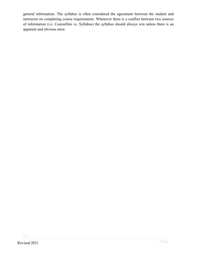general information. The syllabus is often considered the agreement between the student and instructor on completing course requirements. Whenever there is a conflict between two sources of information (i.e. CourseDen vs. Syllabus) the syllabus should always win unless there is an apparent and obvious error.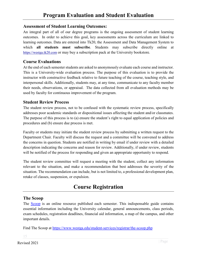#### <span id="page-15-1"></span><span id="page-15-0"></span>**Assessment of Student Learning Outcomes:**

An integral part of all of our degree programs is the ongoing assessment of student learning outcomes. In order to achieve this goal, key assessments across the curriculum are linked to learning outcomes. Data are entered into Tk20, the Assessment and Data Management System to which **all students must subscribe**. Students may subscribe directly online at [https://westga.tk20.com](https://westga.tk20.com/) or may buy a subscription pack at the University bookstore.

## <span id="page-15-2"></span>**Course Evaluations**

At the end of each semester students are asked to anonymously evaluate each course and instructor. This is a University-wide evaluation process. The purpose of this evaluation is to provide the instructor with constructive feedback relative to future teaching of the course, teaching style, and interpersonal skills. Additionally, students may, at any time, communicate to any faculty member their needs, observations, or appraisal. The data collected from all evaluation methods may be used by faculty for continuous improvement of the program.

#### <span id="page-15-3"></span>**Student Review Process**

The student review process, not to be confused with the systematic review process, specifically addresses poor academic standards or dispositional issues affecting the student and/or classmates. The purpose of this process is to (a) ensure the student's right to equal application of policies and procedures and (b) ensure due process is met.

Faculty or students may initiate the student review process by submitting a written request to the Department Chair. Faculty will discuss the request and a committee will be convened to address the concerns in question. Students are notified in writing by email if under review with a detailed description indicating the concerns and reason for review. Additionally, if under review, students will be notified of the process for responding and given an appropriate opportunity to respond.

The student review committee will request a meeting with the student, collect any information relevant to the situation, and make a recommendation that best addresses the severity of the situation. The recommendation can include, but is not limited to, a professional development plan, retake of classes, suspension, or expulsion.

# **Course Registration**

#### <span id="page-15-5"></span><span id="page-15-4"></span>**The Scoop**

The [Scoop](https://www.westga.edu/student-services/registrar/the-scoop.php) is an online resource published each semester. This indispensable guide contains essential information including the University calendar, general announcements, class periods, exam schedules, registration deadlines, financial aid information, a map of the campus, and other important details.

Find The Scoop at<https://www.westga.edu/student-services/registrar/the-scoop.php>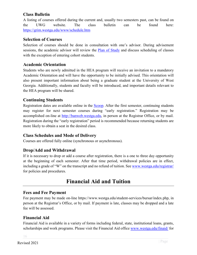# <span id="page-16-0"></span>**Class Bulletin**

A listing of courses offered during the current and, usually two semesters past, can be found on the UWG website. The class bulletin can be found here: <https://grim.westga.edu/www/schedule.htm>

#### <span id="page-16-1"></span>**Selection of Courses**

Selection of courses should be done in consultation with one's advisor. During advisement sessions, the academic advisor will review the Plan of Study and discuss scheduling of classes with the exception of entering cohort students.

#### <span id="page-16-2"></span>**Academic Orientation**

Students who are newly admitted in the HEA program will receive an invitation to a mandatory Academic Orientation and will have the opportunity to be initially advised. This orientation will also present important information about being a graduate student at the University of West Georgia. Additionally, students and faculty will be introduced, and important details relevant to the HEA program will be shared.

#### <span id="page-16-3"></span>**Continuing Students**

Registration dates are available online in the [Scoop.](https://www.westga.edu/student-services/registrar/the-scoop.php) After the first semester, continuing students may register for next semester courses during "early registration." Registration may be accomplished on-line at [http://banweb.westga.edu,](http://banweb.westga.edu/) in person at the Registrar Office, or by mail. Registration during the "early registration" period is recommended because returning students are more likely to obtain a seat in the desired class.

#### <span id="page-16-4"></span>**Class Schedules and Mode of Delivery**

Courses are offered fully online (synchronous or asynchronous).

# <span id="page-16-5"></span>**Drop/Add and Withdrawal**

If it is necessary to drop or add a course after registration, there is a one to three day opportunity at the beginning of each semester. After that time period, withdrawal policies are in effect, including a grade of "W" on the transcript and no refund of tuition. Se[e www.westga.edu/registrar/](http://www.westga.edu/registrar) for policies and procedures.

# **Financial Aid and Tuition**

#### <span id="page-16-7"></span><span id="page-16-6"></span>**Fees and Fee Payment**

Fee payment may be made on-line https://www.westga.edu/student-services/bursar/index.php, in person at the Registrar's Office, or by mail. If payment is late, classes may be dropped and a late fee will be assessed.

#### <span id="page-16-8"></span>**Financial Aid**

Financial Aid is available in a variety of forms including federal, state, institutional loans, grants, scholarships and work programs. Please visit the Financial Aid office [www.westga.edu/finaid/](http://www.westga.edu/finaid/) for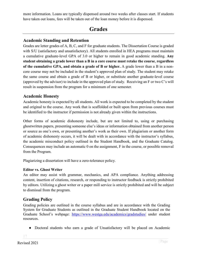more information. Loans are typically dispensed around two weeks after classes start. If students have taken out loans, fees will be taken out of the loan money before it is dispensed.

# **Grades**

# <span id="page-17-1"></span><span id="page-17-0"></span>**Academic Standing and Retention**

Grades are letter grades of A, B, C, and F for graduate students. The Dissertation Course is graded with S/U (satisfactory and unsatisfactory). All students enrolled in HEA programs must maintain a cumulative graduate-level GPA of 3.0 or higher to remain in good academic standing. **Any student obtaining a grade lower than a B in a core course must retake the course**, **regardless of the cumulative GPA, and obtain a grade of B or higher.** A grade lower than a B in a noncore course may not be included in the student's approved plan of study. The student may retake the same course and obtain a grade of B or higher, or substitute another graduate-level course (approved by the advisor) to include in the approved plan of study. Receiving an F or two C's will result in suspension from the program for a minimum of one semester.

## <span id="page-17-2"></span>**Academic Honesty**

Academic honesty is expected by all students. All work is expected to be completed by the student and original to the course. Any work that is scaffolded or built upon from previous courses must be identified to the instructor if permission is not already given within the instructions.

Other forms of academic dishonesty include, but are not limited to, using or purchasing ghostwritten papers, presenting someone else's ideas or information obtained from another person or source as one's own, or presenting another's work as their own. If plagiarism or another form of academic dishonesty occurs, it will be dealt with in accordance with the instructor's syllabus, the academic misconduct policy outlined in the Student Handbook, and the Graduate Catalog. Consequences may include an automatic 0 on the assignment, F in the course, or possible removal from the Program.

Plagiarizing a dissertation will have a zero-tolerance policy.

#### <span id="page-17-3"></span>**Editor vs. Ghost Writer**

An editor may assist with grammar, mechanics, and APA compliance. Anything addressing content, insertion of citations, research, or responding to instructor feedback is strictly prohibited by editors. Utilizing a ghost writer or a paper mill service is strictly prohibited and will be subject to dismissal from the program.

# <span id="page-17-4"></span>**Grading Policy**

Grading policies are outlined in the course syllabus and are in accordance with the Grading System for Graduate Students as outlined in the Graduate Student Handbook located on the Graduate School's webpage: <https://www.westga.edu/academics/gradstudies/> under student resources.

● Doctoral students who earn a grade of Unsatisfactory will be placed on Academic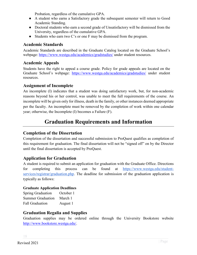Probation, regardless of the cumulative GPA.

- A student who earns a Satisfactory grade the subsequent semester will return to Good Academic Standing.
- Doctoral students who earn a second grade of Unsatisfactory will be dismissed from the University, regardless of the cumulative GPA.
- Students who earn two C's or one F may be dismissed from the program.

# <span id="page-18-0"></span>**Academic Standards**

Academic Standards are described in the Graduate Catalog located on the Graduate School's webpage:<https://www.westga.edu/academics/gradstudies/> under student resources.

# <span id="page-18-1"></span>**Academic Appeals**

Students have the right to appeal a course grade. Policy for grade appeals are located on the Graduate School's webpage: <https://www.westga.edu/academics/gradstudies/> under student resources.

# <span id="page-18-2"></span>**Assignment of Incomplete**

An incomplete (I) indicates that a student was doing satisfactory work, but, for non-academic reasons beyond his or her control, was unable to meet the full requirements of the course. An incomplete will be given only for illness, death in the family, or other instances deemed appropriate per the faculty. An incomplete must be removed by the completion of work within one calendar year; otherwise, the Incomplete (I) becomes a Failure (F).

# **Graduation Requirements and Information**

# <span id="page-18-4"></span><span id="page-18-3"></span>**Completion of the Dissertation**

Completion of the dissertation and successful submission to ProQuest qualifies as completion of this requirement for graduation. The final dissertation will not be "signed off" on by the Director until the final dissertation is accepted by ProQuest.

# <span id="page-18-5"></span>**Application for Graduation**

A student is required to submit an application for graduation with the Graduate Office. Directions for completing this process can be found at [https://www.westga.edu/student](https://www.westga.edu/student-services/registrar/graduation.php)[services/registrar/graduation.php.](https://www.westga.edu/student-services/registrar/graduation.php) The deadline for submission of the graduation application is typically as follows:

#### <span id="page-18-6"></span>**Graduate Application Deadlines**

| <b>Spring Graduation</b> | October 1 |
|--------------------------|-----------|
| <b>Summer Graduation</b> | March 1   |
| <b>Fall Graduation</b>   | August 1  |

# <span id="page-18-7"></span>**Graduation Regalia and Supplies**

Graduation supplies may be ordered online through the University Bookstore website [http://www.bookstore.westga.edu/.](http://www.bookstore.westga.edu/)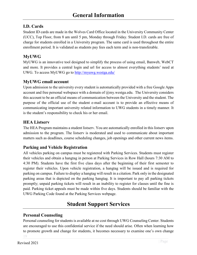# <span id="page-19-1"></span><span id="page-19-0"></span>**I.D. Cards**

Student ID cards are made in the Wolves Card Office located in the University Community Center (UCC), Top Floor, from 8 am until 5 pm, Monday through Friday. Student I.D. cards are free of charge for students enrolled in a University program. The same card is used throughout the entire enrollment period. It is validated as students pay fees each term and is non-transferable.

# <span id="page-19-2"></span>**MyUWG**

MyUWG is an innovative tool designed to simplify the process of using email, Banweb, WebCT and more. It provides a central login and url for access to almost everything students' need at UWG. To access MyUWG go to<http://myuwg.westga.edu/>

# <span id="page-19-3"></span>**MyUWG email account**

Upon admission to the university every student is automatically provided with a free Google Apps account and free personal webspace with a domain of  $\omega_{\text{mv}}$ , westga.edu. The University considers this account to be an official means of communication between the University and the student. The purpose of the official use of the student e-mail account is to provide an effective means of communicating important university related information to UWG students in a timely manner. It is the student's responsibility to check his or her email.

## <span id="page-19-4"></span>**HEA Listserv**

The HEA Program maintains a student listserv. You are automatically enrolled in this listserv upon admission to the program. The listserv is moderated and used to communicate about important matters such as deadlines, course scheduling changes, job openings and other current news items.

# <span id="page-19-5"></span>**Parking and Vehicle Registration**

All vehicles parking on campus must be registered with Parking Services. Students must register their vehicles and obtain a hangtag in person at Parking Services in Row Hall (hours 7:30 AM to 4:30 PM). Students have the first five class days after the beginning of their first semester to register their vehicles. Upon vehicle registration, a hangtag will be issued and is required for parking on campus. Failure to display a hangtag will result in a citation. Park only in the designated parking areas that is depicted on the parking hangtag. It is important to pay all parking tickets promptly; unpaid parking tickets will result in an inability to register for classes until the fine is paid. Parking ticket appeals must be made within five days. Students should be familiar with the UWG Parking Code found at the Parking Services webpage.

# **Student Support Services**

# <span id="page-19-7"></span><span id="page-19-6"></span>**Personal Counseling**

Personal counseling for students is available at no cost through UWG Counseling Center. Students are encouraged to use this confidential service if the need should arise. Often when learning how to promote growth and change for students, it becomes necessary to examine one's own change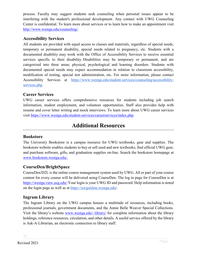process. Faculty may suggest students seek counseling when personal issues appear to be interfering with the student's professional development. Any contact with UWG Counseling Center is confidential. To learn more about services or to learn how to make an appointment visit [http://www.westga.edu/counseling/.](http://www.westga.edu/counseling/)

# <span id="page-20-0"></span>**Accessibility Services**

All students are provided with equal access to classes and materials, regardless of special needs, temporary or permanent disability, special needs related to pregnancy, etc. Students with a documented disability may work with the Office of Accessibility Services to receive essential services specific to their disability. Disabilities may be temporary or permanent, and are categorized into three areas; physical, psychological and learning disorders. Students with documented special needs may expect accommodation in relation to classroom accessibility, modification of testing, special test administration, etc. For more information, please contact Accessibility Services at [https://www.westga.edu/student-services/counseling/accessibility](https://www.westga.edu/student-services/counseling/accessibility-services.php)[services.php.](https://www.westga.edu/student-services/counseling/accessibility-services.php)

# <span id="page-20-1"></span>**Career Services**

UWG career services offers comprehensive resources for students including job search information, student employment, and volunteer opportunities. Staff also provides help with resume and cover letter writing and mock interviews. To learn more about UWG career services visit [https://www.westga.edu/student-services/careerservices/index.php.](https://www.westga.edu/student-services/careerservices/index.php)

# **Additional Resources**

#### <span id="page-20-3"></span><span id="page-20-2"></span>**Bookstore**

The University Bookstore is a campus resource for UWG textbooks, gear and supplies. The bookstore website enables students to buy or sell used and new textbooks; find official UWG gear; and purchase software, gifts, and graduation supplies on-line. Search the bookstore homepage at [www.bookstore.westga.edu/.](http://www.bookstore.westga.edu/)

# <span id="page-20-4"></span>**CourseDen/BrightSpace**

CourseDen/D2L is the online course management system used by UWG. All or part of your course content for every course will be delivered using CourseDen. The log in page for CourseDen is at [https://westga.view.usg.edu/.](https://westga.view.usg.edu/)Your login is your UWG ID and password. Help information is noted on the login page as well as at<https://uwgonline.westga.edu/>.

# <span id="page-20-5"></span>**Ingram Library**

The Ingram Library on the UWG campus houses a multitude of resources, including books, professional journals, government documents, and the Annie Belle Weaver Special Collections. Visit the library's website [www.westga.edu/~library/](http://www.westga.edu/%7Elibrary/) [f](http://www.westga.edu/%7Elibrary/)or complete information about the library holdings, reference resources, circulation, and other details. A useful service offered by the library is Ask-A-Librarian, an electronic connection to library staff.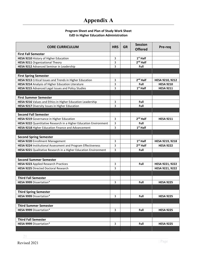# **Appendix A**

#### **Program Sheet and Plan of Study Work Sheet EdD in Higher Education Administration**

<span id="page-21-0"></span>

| <b>CORE CURRICULUM</b>                                            | <b>HRS</b> | <b>GR</b> | <b>Session</b><br><b>Offered</b> | Pre-req          |
|-------------------------------------------------------------------|------------|-----------|----------------------------------|------------------|
| <b>First Fall Semester</b>                                        |            |           |                                  |                  |
| HESA 9210 History of Higher Education                             | 3          |           | $1st$ Half                       |                  |
| HESA 9211 Organizational Theory                                   | 3          |           | $2nd$ Half                       |                  |
| HESA 9212 Advanced Seminar in Leadership                          | 3          |           | Full                             |                  |
|                                                                   |            |           |                                  |                  |
| <b>First Spring Semester</b>                                      |            |           |                                  |                  |
| HESA 9213 Critical Issues and Trends in Higher Education          | 3          |           | $2nd$ Half                       | HESA 9210, 9212  |
| HESA 9214 Analysis of Higher Education Literature                 | 3          |           | Full                             | <b>HESA 9210</b> |
| HESA 9215 Advanced Legal Issues and Policy Studies                | 3          |           | $1st$ Half                       | <b>HESA 9211</b> |
|                                                                   |            |           |                                  |                  |
| <b>First Summer Semester</b>                                      |            |           |                                  |                  |
| HESA 9216 Values and Ethics in Higher Education Leadership        | 3          |           | Full                             |                  |
| HESA 9217 Diversity Issues in Higher Education                    | 3          |           | Full                             |                  |
|                                                                   |            |           |                                  |                  |
| <b>Second Fall Semester</b>                                       |            |           |                                  |                  |
| HESA 9219 Governance in Higher Education                          | 3          |           | $2nd$ Half                       | <b>HESA 9211</b> |
| HESA 9222 Quantitative Research in a Higher Education Environment | 3          |           | Full                             |                  |
| HESA 9218 Higher Education Finance and Advancement                | 3          |           | $1st$ Half                       |                  |
|                                                                   |            |           |                                  |                  |
| <b>Second Spring Semester</b>                                     |            |           |                                  |                  |
| HESA 9220 Enrollment Management                                   | 3          |           | $1st$ Half                       | HESA 9219, 9218  |
| HESA 9224 Institutional Assessment and Program Effectiveness      | 3          |           | $2nd$ Half                       | <b>HESA 9222</b> |
| HESA 9221 Qualitative Research in a Higher Education Environment  | 3          |           | Full                             |                  |
|                                                                   |            |           |                                  |                  |
| <b>Second Summer Semester</b>                                     |            |           |                                  |                  |
| <b>HESA 9223 Applied Research Practices</b>                       | 3          |           | Full                             | HESA 9221, 9222  |
| <b>HESA 9225 Directed Doctoral Research</b>                       | 3          |           |                                  |                  |
|                                                                   |            |           |                                  | HESA 9221, 9222  |
|                                                                   |            |           |                                  |                  |
| <b>Third Fall Semester</b>                                        |            |           |                                  |                  |
| HESA 9999 Dissertation*                                           | 3          |           | Full                             | <b>HESA 9225</b> |
|                                                                   |            |           |                                  |                  |
| <b>Third Spring Semester</b>                                      |            |           |                                  |                  |
| HESA 9999 Dissertation*                                           | 3          |           | Full                             | <b>HESA 9225</b> |
|                                                                   |            |           |                                  |                  |
| <b>Third Summer Semester</b>                                      |            |           |                                  |                  |
| HESA 9999 Dissertation*                                           | 3          |           | Full                             | <b>HESA 9225</b> |
|                                                                   |            |           |                                  |                  |
| <b>Third Fall Semester</b>                                        |            |           |                                  |                  |
| <b>HESA 9999 Dissertation*</b>                                    | 3          |           | Full                             | <b>HESA 9225</b> |
|                                                                   |            |           |                                  |                  |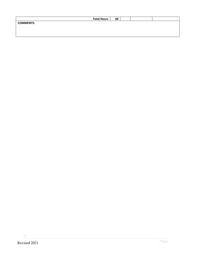|                  | <b>Total Hours</b> | 60 |  |  |
|------------------|--------------------|----|--|--|
| <b>COMMENTS:</b> |                    |    |  |  |
|                  |                    |    |  |  |
|                  |                    |    |  |  |
|                  |                    |    |  |  |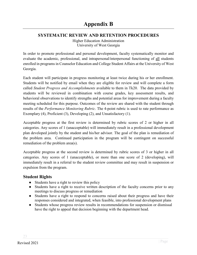# <span id="page-23-1"></span><span id="page-23-0"></span>**SYSTEMATIC REVIEW AND RETENTION PROCEDURES**

Higher Education Administration University of West Georgia

In order to promote professional and personal development, faculty systematically monitor and evaluate the academic, professional, and intrapersonal/interpersonal functioning of all students enrolled in programs in Counselor Education and College Student Affairs at the University of West Georgia.

Each student will participate in progress monitoring at least twice during his or her enrollment. Students will be notified by email when they are eligible for review and will complete a form called *Student Progress and Accomplishments* available to them in Tk20. The data provided by students will be reviewed in combination with course grades, key assessment results, and behavioral observations to identify strengths and potential areas for improvement during a faculty meeting scheduled for this purpose. Outcomes of the review are shared with the student through results of the *Performance Monitoring Rubric*. The 4-point rubric is used to rate performance as Exemplary (4), Proficient (3), Developing (2), and Unsatisfactory (1).

Acceptable progress at the first review is determined by rubric scores of 2 or higher in all categories. Any scores of 1 (unacceptable) will immediately result in a professional development plan developed jointly by the student and his/her advisor. The goal of the plan is remediation of the problem area. Continued participation in the program will be contingent on successful remediation of the problem area(s).

Acceptable progress at the second review is determined by rubric scores of 3 or higher in all categories. Any scores of 1 (unacceptable), or more than one score of 2 (developing), will immediately result in a referral to the student review committee and may result in suspension or expulsion from the program.

# <span id="page-23-2"></span>**Student Rights**

- Students have a right to review this policy
- Students have a right to receive written description of the faculty concerns prior to any meetings to discuss progress or remediation
- Students have a right to respond to concerns raised about their progress and have their responses considered and integrated, when feasible, into professional development plans
- Students whose progress review results in recommendations for suspension or dismissal have the right to appeal that decision beginning with the department head.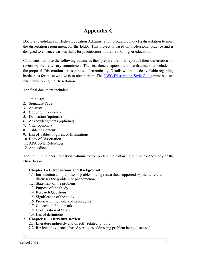# **Appendix C**

<span id="page-24-0"></span>Doctoral candidates in Higher Education Administration program conduct a dissertation to meet the dissertation requirement for the Ed.D. This project is based on professional practice and is designed to enhance various skills for practitioners in the field of higher education.

Candidates will use the following outline as they prepare the final report of their dissertation for review by their advisory committees. The first three chapters are those that must be included in the proposal. Dissertations are submitted electronically. Details will be made available regarding hardcopies for those who wish to obtain them. The [UWG Dissertation Style Guide](https://www.westga.edu/academics/gradstudies/assets-gradstudies/docs/UWG_Thesis_Dissertation_Formatting_June2015.pdf) must be used when developing the Dissertation.

The final document includes:

- 1. Title Page
- 2. Signature Page
- 3. Abstract
- 4. Copyright (optional)
- 5. Dedication (optional)
- 6. Acknowledgments (optional)
- 7. Vita (optional)
- 8. Table of Contents
- 9. List of Tables, Figures, or Illustrations
- 10. Body of Dissertation
- 11. APA Style References
- 12. Appendices

The Ed.D. in Higher Education Administration prefers the following outline for the Body of the Dissertation.

#### 1. **Chapter I – Introductions and Background**

- 1.1. Introduction and purpose of problem being researched supported by literature that discusses the problem or phenomenon
- 1.2. Statement of the problem
- 1.3. Purpose of the Study
- 1.4. Research Questions
- 1.5. Significance of the study
- 1.6. Preview of methods and procedures
- 1.7. Conceptual Framework
- 1.8. Organization of Study
- 1.9. List of definitions

#### 2. **Chapter II – Literature Review**

- 2.1. Literature indirectly and directly related to topic
- 2.2. Review of evidenced based strategies addressing problem being discussed